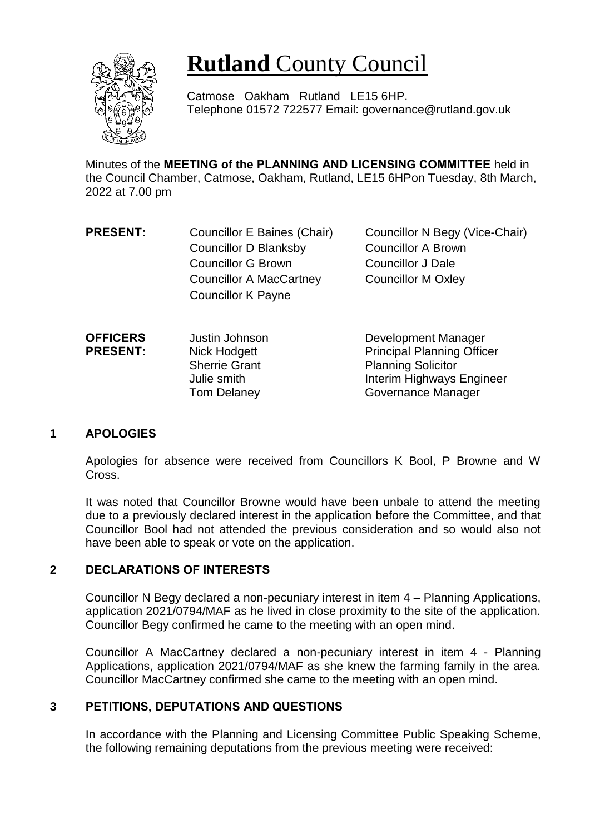

# **Rutland** County Council

Catmose Oakham Rutland LE15 6HP. Telephone 01572 722577 Email: governance@rutland.gov.uk

Minutes of the **MEETING of the PLANNING AND LICENSING COMMITTEE** held in the Council Chamber, Catmose, Oakham, Rutland, LE15 6HPon Tuesday, 8th March, 2022 at 7.00 pm

- **PRESENT:** Councillor E Baines (Chair) Councillor N Begy (Vice-Chair) Councillor D Blanksby Councillor A Brown Councillor G Brown Councillor J Dale Councillor A MacCartney Councillor M Oxley Councillor K Payne
- **OFFICERS PRESENT:** Justin Johnson Nick Hodgett Sherrie Grant Julie smith Tom Delaney Development Manager Principal Planning Officer Planning Solicitor Interim Highways Engineer Governance Manager

### **1 APOLOGIES**

Apologies for absence were received from Councillors K Bool, P Browne and W Cross.

It was noted that Councillor Browne would have been unbale to attend the meeting due to a previously declared interest in the application before the Committee, and that Councillor Bool had not attended the previous consideration and so would also not have been able to speak or vote on the application.

## **2 DECLARATIONS OF INTERESTS**

Councillor N Begy declared a non-pecuniary interest in item 4 – Planning Applications, application 2021/0794/MAF as he lived in close proximity to the site of the application. Councillor Begy confirmed he came to the meeting with an open mind.

Councillor A MacCartney declared a non-pecuniary interest in item 4 - Planning Applications, application 2021/0794/MAF as she knew the farming family in the area. Councillor MacCartney confirmed she came to the meeting with an open mind.

## **3 PETITIONS, DEPUTATIONS AND QUESTIONS**

In accordance with the Planning and Licensing Committee Public Speaking Scheme, the following remaining deputations from the previous meeting were received: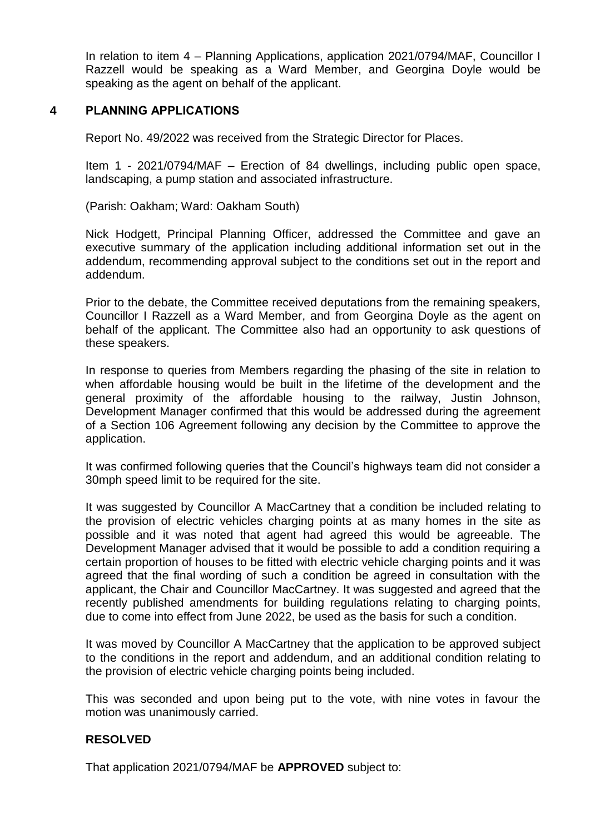In relation to item 4 – Planning Applications, application 2021/0794/MAF, Councillor I Razzell would be speaking as a Ward Member, and Georgina Doyle would be speaking as the agent on behalf of the applicant.

## **4 PLANNING APPLICATIONS**

Report No. 49/2022 was received from the Strategic Director for Places.

Item 1 - 2021/0794/MAF – Erection of 84 dwellings, including public open space, landscaping, a pump station and associated infrastructure.

(Parish: Oakham; Ward: Oakham South)

Nick Hodgett, Principal Planning Officer, addressed the Committee and gave an executive summary of the application including additional information set out in the addendum, recommending approval subject to the conditions set out in the report and addendum.

Prior to the debate, the Committee received deputations from the remaining speakers, Councillor I Razzell as a Ward Member, and from Georgina Doyle as the agent on behalf of the applicant. The Committee also had an opportunity to ask questions of these speakers.

In response to queries from Members regarding the phasing of the site in relation to when affordable housing would be built in the lifetime of the development and the general proximity of the affordable housing to the railway, Justin Johnson, Development Manager confirmed that this would be addressed during the agreement of a Section 106 Agreement following any decision by the Committee to approve the application.

It was confirmed following queries that the Council's highways team did not consider a 30mph speed limit to be required for the site.

It was suggested by Councillor A MacCartney that a condition be included relating to the provision of electric vehicles charging points at as many homes in the site as possible and it was noted that agent had agreed this would be agreeable. The Development Manager advised that it would be possible to add a condition requiring a certain proportion of houses to be fitted with electric vehicle charging points and it was agreed that the final wording of such a condition be agreed in consultation with the applicant, the Chair and Councillor MacCartney. It was suggested and agreed that the recently published amendments for building regulations relating to charging points, due to come into effect from June 2022, be used as the basis for such a condition.

It was moved by Councillor A MacCartney that the application to be approved subject to the conditions in the report and addendum, and an additional condition relating to the provision of electric vehicle charging points being included.

This was seconded and upon being put to the vote, with nine votes in favour the motion was unanimously carried.

### **RESOLVED**

That application 2021/0794/MAF be **APPROVED** subject to: